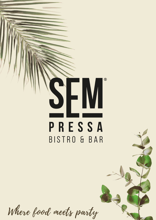

# PRESSA BISTRO & BAR

Where food meets party